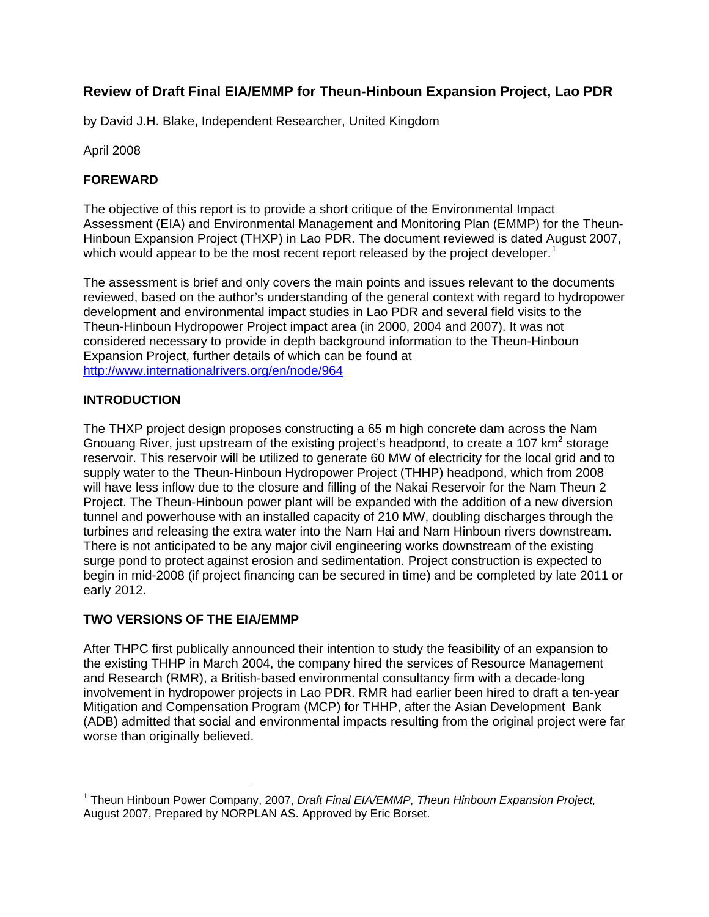# **Review of Draft Final EIA/EMMP for Theun-Hinboun Expansion Project, Lao PDR**

by David J.H. Blake, Independent Researcher, United Kingdom

April 2008

## **FOREWARD**

The objective of this report is to provide a short critique of the Environmental Impact Assessment (EIA) and Environmental Management and Monitoring Plan (EMMP) for the Theun-Hinboun Expansion Project (THXP) in Lao PDR. The document reviewed is dated August 2007, which would appear to be the most recent report released by the project developer.<sup>[1](#page-0-0)</sup>

The assessment is brief and only covers the main points and issues relevant to the documents reviewed, based on the author's understanding of the general context with regard to hydropower development and environmental impact studies in Lao PDR and several field visits to the Theun-Hinboun Hydropower Project impact area (in 2000, 2004 and 2007). It was not considered necessary to provide in depth background information to the Theun-Hinboun Expansion Project, further details of which can be found at <http://www.internationalrivers.org/en/node/964>

#### **INTRODUCTION**

The THXP project design proposes constructing a 65 m high concrete dam across the Nam Gnouang River, just upstream of the existing project's headpond, to create a 107  $km^2$  storage reservoir. This reservoir will be utilized to generate 60 MW of electricity for the local grid and to supply water to the Theun-Hinboun Hydropower Project (THHP) headpond, which from 2008 will have less inflow due to the closure and filling of the Nakai Reservoir for the Nam Theun 2 Project. The Theun-Hinboun power plant will be expanded with the addition of a new diversion tunnel and powerhouse with an installed capacity of 210 MW, doubling discharges through the turbines and releasing the extra water into the Nam Hai and Nam Hinboun rivers downstream. There is not anticipated to be any major civil engineering works downstream of the existing surge pond to protect against erosion and sedimentation. Project construction is expected to begin in mid-2008 (if project financing can be secured in time) and be completed by late 2011 or early 2012.

#### **TWO VERSIONS OF THE EIA/EMMP**

After THPC first publically announced their intention to study the feasibility of an expansion to the existing THHP in March 2004, the company hired the services of Resource Management and Research (RMR), a British-based environmental consultancy firm with a decade-long involvement in hydropower projects in Lao PDR. RMR had earlier been hired to draft a ten-year Mitigation and Compensation Program (MCP) for THHP, after the Asian Development Bank (ADB) admitted that social and environmental impacts resulting from the original project were far worse than originally believed.

<span id="page-0-0"></span> $\overline{a}$ 1 Theun Hinboun Power Company, 2007, *Draft Final EIA/EMMP, Theun Hinboun Expansion Project,* August 2007, Prepared by NORPLAN AS. Approved by Eric Borset.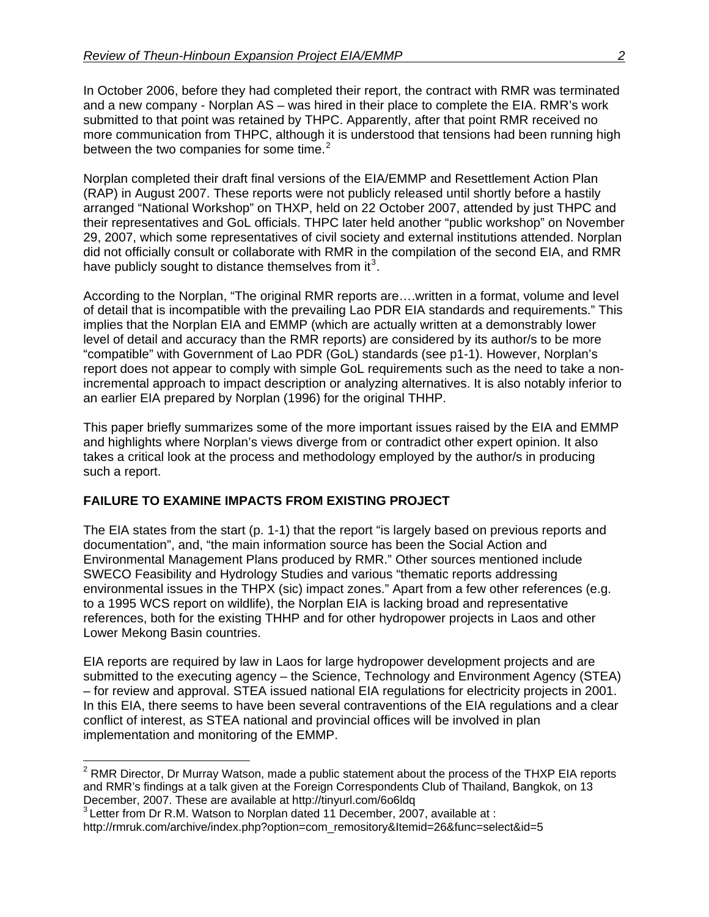In October 2006, before they had completed their report, the contract with RMR was terminated and a new company - Norplan AS – was hired in their place to complete the EIA. RMR's work submitted to that point was retained by THPC. Apparently, after that point RMR received no more communication from THPC, although it is understood that tensions had been running high between the two companies for some time. $2$ 

Norplan completed their draft final versions of the EIA/EMMP and Resettlement Action Plan (RAP) in August 2007. These reports were not publicly released until shortly before a hastily arranged "National Workshop" on THXP, held on 22 October 2007, attended by just THPC and their representatives and GoL officials. THPC later held another "public workshop" on November 29, 2007, which some representatives of civil society and external institutions attended. Norplan did not officially consult or collaborate with RMR in the compilation of the second EIA, and RMR have publicly sought to distance themselves from it<sup>[3](#page-1-1)</sup>.

According to the Norplan, "The original RMR reports are….written in a format, volume and level of detail that is incompatible with the prevailing Lao PDR EIA standards and requirements." This implies that the Norplan EIA and EMMP (which are actually written at a demonstrably lower level of detail and accuracy than the RMR reports) are considered by its author/s to be more "compatible" with Government of Lao PDR (GoL) standards (see p1-1). However, Norplan's report does not appear to comply with simple GoL requirements such as the need to take a nonincremental approach to impact description or analyzing alternatives. It is also notably inferior to an earlier EIA prepared by Norplan (1996) for the original THHP.

This paper briefly summarizes some of the more important issues raised by the EIA and EMMP and highlights where Norplan's views diverge from or contradict other expert opinion. It also takes a critical look at the process and methodology employed by the author/s in producing such a report.

## **FAILURE TO EXAMINE IMPACTS FROM EXISTING PROJECT**

The EIA states from the start (p. 1-1) that the report "is largely based on previous reports and documentation", and, "the main information source has been the Social Action and Environmental Management Plans produced by RMR." Other sources mentioned include SWECO Feasibility and Hydrology Studies and various "thematic reports addressing environmental issues in the THPX (sic) impact zones." Apart from a few other references (e.g. to a 1995 WCS report on wildlife), the Norplan EIA is lacking broad and representative references, both for the existing THHP and for other hydropower projects in Laos and other Lower Mekong Basin countries.

EIA reports are required by law in Laos for large hydropower development projects and are submitted to the executing agency – the Science, Technology and Environment Agency (STEA) – for review and approval. STEA issued national EIA regulations for electricity projects in 2001. In this EIA, there seems to have been several contraventions of the EIA regulations and a clear conflict of interest, as STEA national and provincial offices will be involved in plan implementation and monitoring of the EMMP.

<span id="page-1-0"></span> 2 RMR Director, Dr Murray Watson, made a public statement about the process of the THXP EIA reports and RMR's findings at a talk given at the Foreign Correspondents Club of Thailand, Bangkok, on 13 December, 2007. These are available at http://tinyurl.com/6o6ldq

<span id="page-1-1"></span><sup>&</sup>lt;sup>3</sup> Letter from Dr R.M. Watson to Norplan dated 11 December, 2007, available at :

http://rmruk.com/archive/index.php?option=com\_remository&Itemid=26&func=select&id=5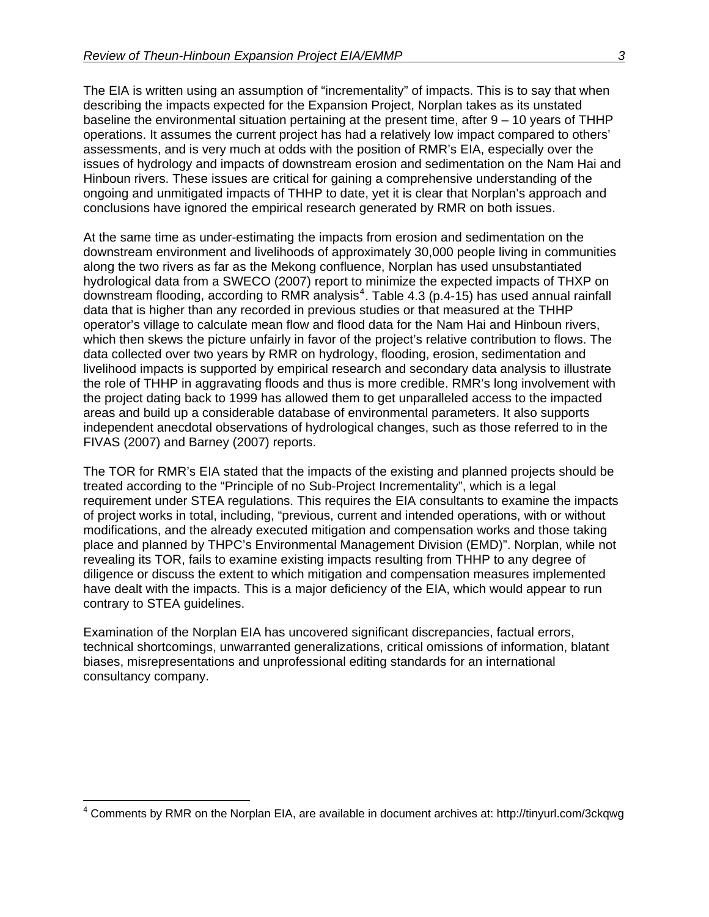The EIA is written using an assumption of "incrementality" of impacts. This is to say that when describing the impacts expected for the Expansion Project, Norplan takes as its unstated baseline the environmental situation pertaining at the present time, after 9 – 10 years of THHP operations. It assumes the current project has had a relatively low impact compared to others' assessments, and is very much at odds with the position of RMR's EIA, especially over the issues of hydrology and impacts of downstream erosion and sedimentation on the Nam Hai and Hinboun rivers. These issues are critical for gaining a comprehensive understanding of the ongoing and unmitigated impacts of THHP to date, yet it is clear that Norplan's approach and conclusions have ignored the empirical research generated by RMR on both issues.

At the same time as under-estimating the impacts from erosion and sedimentation on the downstream environment and livelihoods of approximately 30,000 people living in communities along the two rivers as far as the Mekong confluence, Norplan has used unsubstantiated hydrological data from a SWECO (2007) report to minimize the expected impacts of THXP on downstream flooding, according to RMR analysis<sup>[4](#page-2-0)</sup>. Table 4.3 (p.4-15) has used annual rainfall data that is higher than any recorded in previous studies or that measured at the THHP operator's village to calculate mean flow and flood data for the Nam Hai and Hinboun rivers, which then skews the picture unfairly in favor of the project's relative contribution to flows. The data collected over two years by RMR on hydrology, flooding, erosion, sedimentation and livelihood impacts is supported by empirical research and secondary data analysis to illustrate the role of THHP in aggravating floods and thus is more credible. RMR's long involvement with the project dating back to 1999 has allowed them to get unparalleled access to the impacted areas and build up a considerable database of environmental parameters. It also supports independent anecdotal observations of hydrological changes, such as those referred to in the FIVAS (2007) and Barney (2007) reports.

The TOR for RMR's EIA stated that the impacts of the existing and planned projects should be treated according to the "Principle of no Sub-Project Incrementality", which is a legal requirement under STEA regulations. This requires the EIA consultants to examine the impacts of project works in total, including, "previous, current and intended operations, with or without modifications, and the already executed mitigation and compensation works and those taking place and planned by THPC's Environmental Management Division (EMD)". Norplan, while not revealing its TOR, fails to examine existing impacts resulting from THHP to any degree of diligence or discuss the extent to which mitigation and compensation measures implemented have dealt with the impacts. This is a major deficiency of the EIA, which would appear to run contrary to STEA guidelines.

Examination of the Norplan EIA has uncovered significant discrepancies, factual errors, technical shortcomings, unwarranted generalizations, critical omissions of information, blatant biases, misrepresentations and unprofessional editing standards for an international consultancy company.

 $\overline{a}$ 

<span id="page-2-0"></span><sup>&</sup>lt;sup>4</sup> Comments by RMR on the Norplan EIA, are available in document archives at: http://tinyurl.com/3ckqwg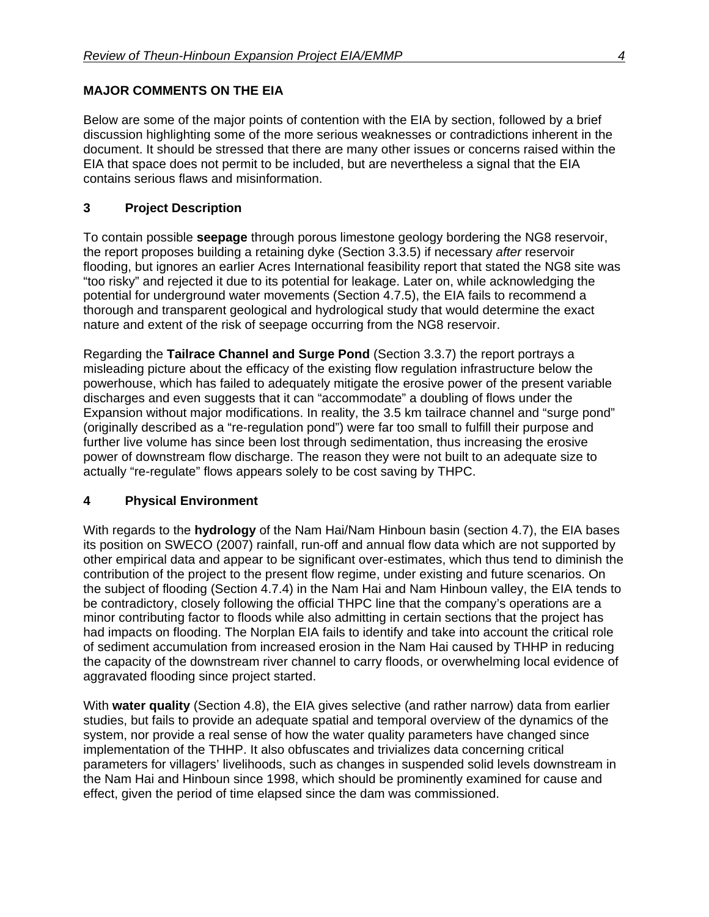## **MAJOR COMMENTS ON THE EIA**

Below are some of the major points of contention with the EIA by section, followed by a brief discussion highlighting some of the more serious weaknesses or contradictions inherent in the document. It should be stressed that there are many other issues or concerns raised within the EIA that space does not permit to be included, but are nevertheless a signal that the EIA contains serious flaws and misinformation.

#### **3 Project Description**

To contain possible **seepage** through porous limestone geology bordering the NG8 reservoir, the report proposes building a retaining dyke (Section 3.3.5) if necessary *after* reservoir flooding, but ignores an earlier Acres International feasibility report that stated the NG8 site was "too risky" and rejected it due to its potential for leakage. Later on, while acknowledging the potential for underground water movements (Section 4.7.5), the EIA fails to recommend a thorough and transparent geological and hydrological study that would determine the exact nature and extent of the risk of seepage occurring from the NG8 reservoir.

Regarding the **Tailrace Channel and Surge Pond** (Section 3.3.7) the report portrays a misleading picture about the efficacy of the existing flow regulation infrastructure below the powerhouse, which has failed to adequately mitigate the erosive power of the present variable discharges and even suggests that it can "accommodate" a doubling of flows under the Expansion without major modifications. In reality, the 3.5 km tailrace channel and "surge pond" (originally described as a "re-regulation pond") were far too small to fulfill their purpose and further live volume has since been lost through sedimentation, thus increasing the erosive power of downstream flow discharge. The reason they were not built to an adequate size to actually "re-regulate" flows appears solely to be cost saving by THPC.

#### **4 Physical Environment**

With regards to the **hydrology** of the Nam Hai/Nam Hinboun basin (section 4.7), the EIA bases its position on SWECO (2007) rainfall, run-off and annual flow data which are not supported by other empirical data and appear to be significant over-estimates, which thus tend to diminish the contribution of the project to the present flow regime, under existing and future scenarios. On the subject of flooding (Section 4.7.4) in the Nam Hai and Nam Hinboun valley, the EIA tends to be contradictory, closely following the official THPC line that the company's operations are a minor contributing factor to floods while also admitting in certain sections that the project has had impacts on flooding. The Norplan EIA fails to identify and take into account the critical role of sediment accumulation from increased erosion in the Nam Hai caused by THHP in reducing the capacity of the downstream river channel to carry floods, or overwhelming local evidence of aggravated flooding since project started.

With **water quality** (Section 4.8), the EIA gives selective (and rather narrow) data from earlier studies, but fails to provide an adequate spatial and temporal overview of the dynamics of the system, nor provide a real sense of how the water quality parameters have changed since implementation of the THHP. It also obfuscates and trivializes data concerning critical parameters for villagers' livelihoods, such as changes in suspended solid levels downstream in the Nam Hai and Hinboun since 1998, which should be prominently examined for cause and effect, given the period of time elapsed since the dam was commissioned.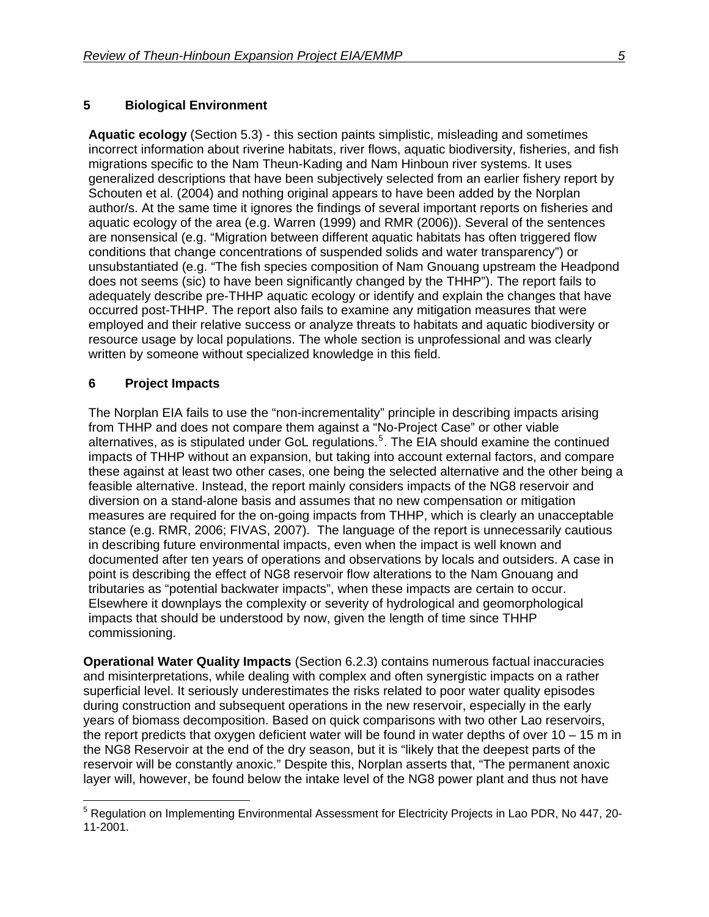#### **5 Biological Environment**

**Aquatic ecology** (Section 5.3) - this section paints simplistic, misleading and sometimes incorrect information about riverine habitats, river flows, aquatic biodiversity, fisheries, and fish migrations specific to the Nam Theun-Kading and Nam Hinboun river systems. It uses generalized descriptions that have been subjectively selected from an earlier fishery report by Schouten et al. (2004) and nothing original appears to have been added by the Norplan author/s. At the same time it ignores the findings of several important reports on fisheries and aquatic ecology of the area (e.g. Warren (1999) and RMR (2006)). Several of the sentences are nonsensical (e.g. "Migration between different aquatic habitats has often triggered flow conditions that change concentrations of suspended solids and water transparency") or unsubstantiated (e.g. "The fish species composition of Nam Gnouang upstream the Headpond does not seems (sic) to have been significantly changed by the THHP"). The report fails to adequately describe pre-THHP aquatic ecology or identify and explain the changes that have occurred post-THHP. The report also fails to examine any mitigation measures that were employed and their relative success or analyze threats to habitats and aquatic biodiversity or resource usage by local populations. The whole section is unprofessional and was clearly written by someone without specialized knowledge in this field.

#### **6 Project Impacts**

The Norplan EIA fails to use the "non-incrementality" principle in describing impacts arising from THHP and does not compare them against a "No-Project Case" or other viable alternatives, as is stipulated under GoL regulations.<sup>[5](#page-4-0)</sup>. The EIA should examine the continued impacts of THHP without an expansion, but taking into account external factors, and compare these against at least two other cases, one being the selected alternative and the other being a feasible alternative. Instead, the report mainly considers impacts of the NG8 reservoir and diversion on a stand-alone basis and assumes that no new compensation or mitigation measures are required for the on-going impacts from THHP, which is clearly an unacceptable stance (e.g. RMR, 2006; FIVAS, 2007). The language of the report is unnecessarily cautious in describing future environmental impacts, even when the impact is well known and documented after ten years of operations and observations by locals and outsiders. A case in point is describing the effect of NG8 reservoir flow alterations to the Nam Gnouang and tributaries as "potential backwater impacts", when these impacts are certain to occur. Elsewhere it downplays the complexity or severity of hydrological and geomorphological impacts that should be understood by now, given the length of time since THHP commissioning.

**Operational Water Quality Impacts** (Section 6.2.3) contains numerous factual inaccuracies and misinterpretations, while dealing with complex and often synergistic impacts on a rather superficial level. It seriously underestimates the risks related to poor water quality episodes during construction and subsequent operations in the new reservoir, especially in the early years of biomass decomposition. Based on quick comparisons with two other Lao reservoirs, the report predicts that oxygen deficient water will be found in water depths of over  $10 - 15$  m in the NG8 Reservoir at the end of the dry season, but it is "likely that the deepest parts of the reservoir will be constantly anoxic." Despite this, Norplan asserts that, "The permanent anoxic layer will, however, be found below the intake level of the NG8 power plant and thus not have

<span id="page-4-0"></span> $\overline{a}$ <sup>5</sup> Regulation on Implementing Environmental Assessment for Electricity Projects in Lao PDR, No 447, 20-11-2001.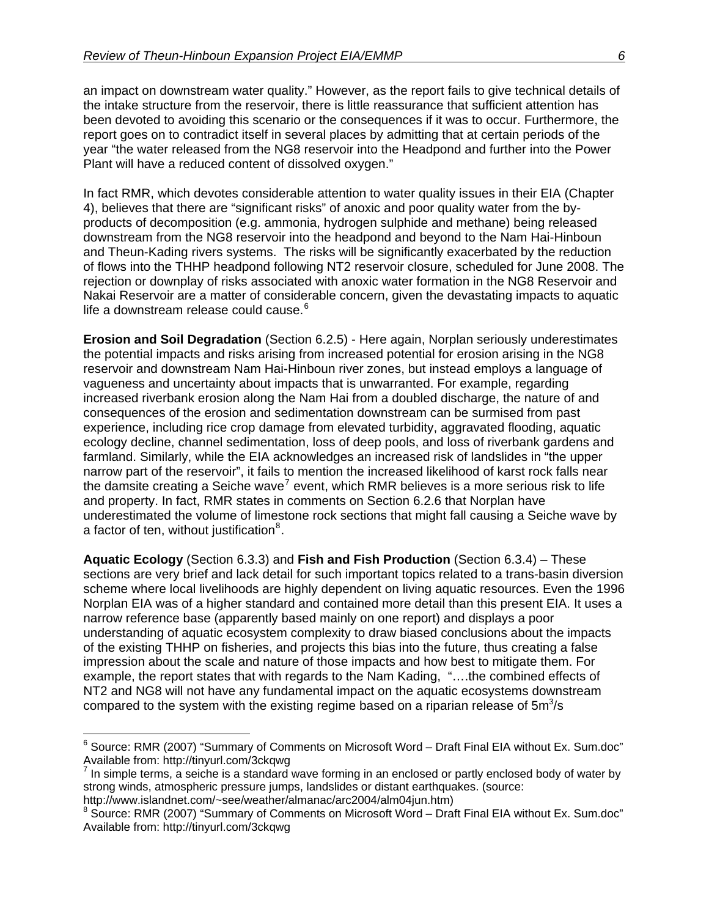an impact on downstream water quality." However, as the report fails to give technical details of the intake structure from the reservoir, there is little reassurance that sufficient attention has been devoted to avoiding this scenario or the consequences if it was to occur. Furthermore, the report goes on to contradict itself in several places by admitting that at certain periods of the year "the water released from the NG8 reservoir into the Headpond and further into the Power Plant will have a reduced content of dissolved oxygen."

In fact RMR, which devotes considerable attention to water quality issues in their EIA (Chapter 4), believes that there are "significant risks" of anoxic and poor quality water from the byproducts of decomposition (e.g. ammonia, hydrogen sulphide and methane) being released downstream from the NG8 reservoir into the headpond and beyond to the Nam Hai-Hinboun and Theun-Kading rivers systems. The risks will be significantly exacerbated by the reduction of flows into the THHP headpond following NT2 reservoir closure, scheduled for June 2008. The rejection or downplay of risks associated with anoxic water formation in the NG8 Reservoir and Nakai Reservoir are a matter of considerable concern, given the devastating impacts to aquatic life a downstream release could cause.<sup>[6](#page-5-0)</sup>

**Erosion and Soil Degradation** (Section 6.2.5) - Here again, Norplan seriously underestimates the potential impacts and risks arising from increased potential for erosion arising in the NG8 reservoir and downstream Nam Hai-Hinboun river zones, but instead employs a language of vagueness and uncertainty about impacts that is unwarranted. For example, regarding increased riverbank erosion along the Nam Hai from a doubled discharge, the nature of and consequences of the erosion and sedimentation downstream can be surmised from past experience, including rice crop damage from elevated turbidity, aggravated flooding, aquatic ecology decline, channel sedimentation, loss of deep pools, and loss of riverbank gardens and farmland. Similarly, while the EIA acknowledges an increased risk of landslides in "the upper narrow part of the reservoir", it fails to mention the increased likelihood of karst rock falls near the damsite creating a Seiche wave<sup>[7](#page-5-1)</sup> event, which RMR believes is a more serious risk to life and property. In fact, RMR states in comments on Section 6.2.6 that Norplan have underestimated the volume of limestone rock sections that might fall causing a Seiche wave by a factor of ten, without justification $8$ .

**Aquatic Ecology** (Section 6.3.3) and **Fish and Fish Production** (Section 6.3.4) – These sections are very brief and lack detail for such important topics related to a trans-basin diversion scheme where local livelihoods are highly dependent on living aquatic resources. Even the 1996 Norplan EIA was of a higher standard and contained more detail than this present EIA. It uses a narrow reference base (apparently based mainly on one report) and displays a poor understanding of aquatic ecosystem complexity to draw biased conclusions about the impacts of the existing THHP on fisheries, and projects this bias into the future, thus creating a false impression about the scale and nature of those impacts and how best to mitigate them. For example, the report states that with regards to the Nam Kading, "….the combined effects of NT2 and NG8 will not have any fundamental impact on the aquatic ecosystems downstream compared to the system with the existing regime based on a riparian release of  $5m^3/s$ 

<span id="page-5-0"></span> 6 Source: RMR (2007) "Summary of Comments on Microsoft Word – Draft Final EIA without Ex. Sum.doc" Available from: http://tinyurl.com/3ckqwg

<span id="page-5-1"></span> $<sup>7</sup>$  In simple terms, a seiche is a standard wave forming in an enclosed or partly enclosed body of water by</sup> strong winds, atmospheric pressure jumps, landslides or distant earthquakes. (source:

http://www.islandnet.com/~see/weather/almanac/arc2004/alm04jun.htm)

<span id="page-5-2"></span><sup>&</sup>lt;sup>8</sup> Source: RMR (2007) "Summary of Comments on Microsoft Word – Draft Final EIA without Ex. Sum.doc" Available from: http://tinyurl.com/3ckqwg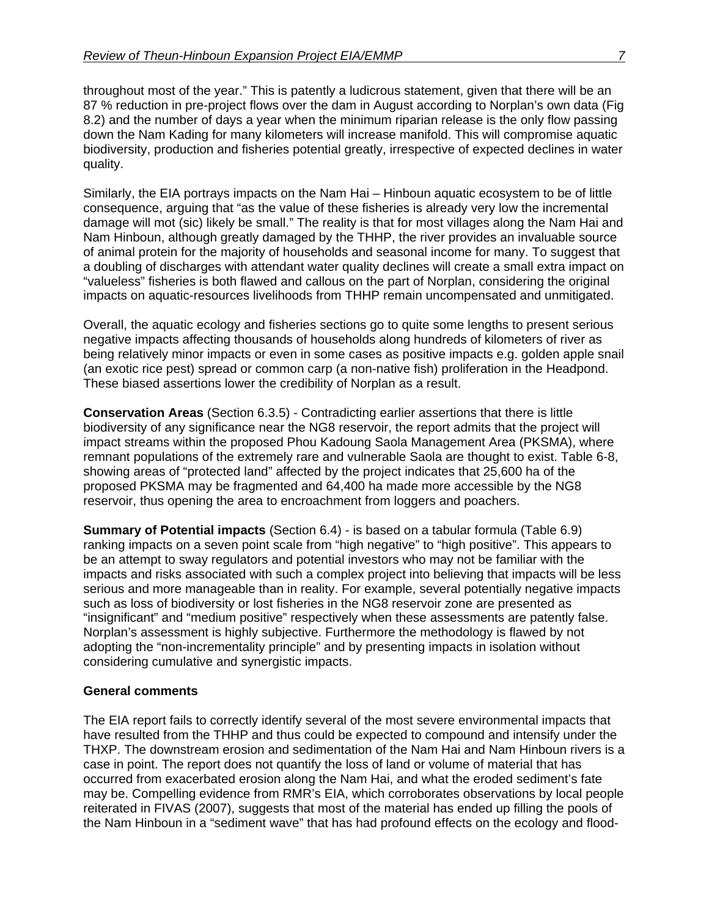throughout most of the year." This is patently a ludicrous statement, given that there will be an 87 % reduction in pre-project flows over the dam in August according to Norplan's own data (Fig 8.2) and the number of days a year when the minimum riparian release is the only flow passing down the Nam Kading for many kilometers will increase manifold. This will compromise aquatic biodiversity, production and fisheries potential greatly, irrespective of expected declines in water quality.

Similarly, the EIA portrays impacts on the Nam Hai – Hinboun aquatic ecosystem to be of little consequence, arguing that "as the value of these fisheries is already very low the incremental damage will mot (sic) likely be small." The reality is that for most villages along the Nam Hai and Nam Hinboun, although greatly damaged by the THHP, the river provides an invaluable source of animal protein for the majority of households and seasonal income for many. To suggest that a doubling of discharges with attendant water quality declines will create a small extra impact on "valueless" fisheries is both flawed and callous on the part of Norplan, considering the original impacts on aquatic-resources livelihoods from THHP remain uncompensated and unmitigated.

Overall, the aquatic ecology and fisheries sections go to quite some lengths to present serious negative impacts affecting thousands of households along hundreds of kilometers of river as being relatively minor impacts or even in some cases as positive impacts e.g. golden apple snail (an exotic rice pest) spread or common carp (a non-native fish) proliferation in the Headpond. These biased assertions lower the credibility of Norplan as a result.

**Conservation Areas** (Section 6.3.5) - Contradicting earlier assertions that there is little biodiversity of any significance near the NG8 reservoir, the report admits that the project will impact streams within the proposed Phou Kadoung Saola Management Area (PKSMA), where remnant populations of the extremely rare and vulnerable Saola are thought to exist. Table 6-8, showing areas of "protected land" affected by the project indicates that 25,600 ha of the proposed PKSMA may be fragmented and 64,400 ha made more accessible by the NG8 reservoir, thus opening the area to encroachment from loggers and poachers.

**Summary of Potential impacts** (Section 6.4) - is based on a tabular formula (Table 6.9) ranking impacts on a seven point scale from "high negative" to "high positive". This appears to be an attempt to sway regulators and potential investors who may not be familiar with the impacts and risks associated with such a complex project into believing that impacts will be less serious and more manageable than in reality. For example, several potentially negative impacts such as loss of biodiversity or lost fisheries in the NG8 reservoir zone are presented as "insignificant" and "medium positive" respectively when these assessments are patently false. Norplan's assessment is highly subjective. Furthermore the methodology is flawed by not adopting the "non-incrementality principle" and by presenting impacts in isolation without considering cumulative and synergistic impacts.

#### **General comments**

The EIA report fails to correctly identify several of the most severe environmental impacts that have resulted from the THHP and thus could be expected to compound and intensify under the THXP. The downstream erosion and sedimentation of the Nam Hai and Nam Hinboun rivers is a case in point. The report does not quantify the loss of land or volume of material that has occurred from exacerbated erosion along the Nam Hai, and what the eroded sediment's fate may be. Compelling evidence from RMR's EIA, which corroborates observations by local people reiterated in FIVAS (2007), suggests that most of the material has ended up filling the pools of the Nam Hinboun in a "sediment wave" that has had profound effects on the ecology and flood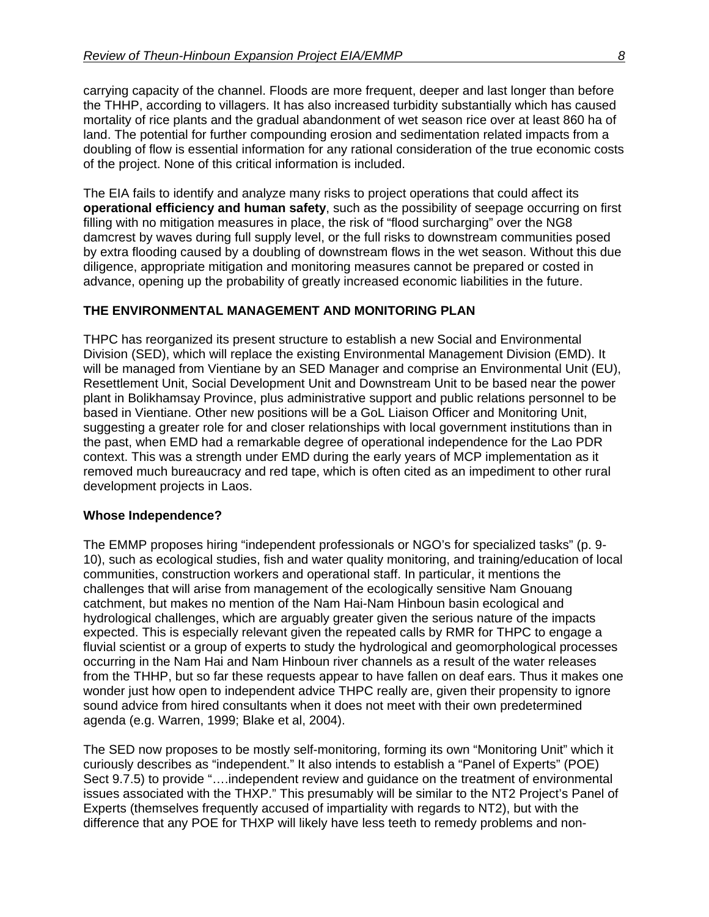carrying capacity of the channel. Floods are more frequent, deeper and last longer than before the THHP, according to villagers. It has also increased turbidity substantially which has caused mortality of rice plants and the gradual abandonment of wet season rice over at least 860 ha of land. The potential for further compounding erosion and sedimentation related impacts from a doubling of flow is essential information for any rational consideration of the true economic costs of the project. None of this critical information is included.

The EIA fails to identify and analyze many risks to project operations that could affect its **operational efficiency and human safety**, such as the possibility of seepage occurring on first filling with no mitigation measures in place, the risk of "flood surcharging" over the NG8 damcrest by waves during full supply level, or the full risks to downstream communities posed by extra flooding caused by a doubling of downstream flows in the wet season. Without this due diligence, appropriate mitigation and monitoring measures cannot be prepared or costed in advance, opening up the probability of greatly increased economic liabilities in the future.

## **THE ENVIRONMENTAL MANAGEMENT AND MONITORING PLAN**

THPC has reorganized its present structure to establish a new Social and Environmental Division (SED), which will replace the existing Environmental Management Division (EMD). It will be managed from Vientiane by an SED Manager and comprise an Environmental Unit (EU), Resettlement Unit, Social Development Unit and Downstream Unit to be based near the power plant in Bolikhamsay Province, plus administrative support and public relations personnel to be based in Vientiane. Other new positions will be a GoL Liaison Officer and Monitoring Unit, suggesting a greater role for and closer relationships with local government institutions than in the past, when EMD had a remarkable degree of operational independence for the Lao PDR context. This was a strength under EMD during the early years of MCP implementation as it removed much bureaucracy and red tape, which is often cited as an impediment to other rural development projects in Laos.

#### **Whose Independence?**

The EMMP proposes hiring "independent professionals or NGO's for specialized tasks" (p. 9- 10), such as ecological studies, fish and water quality monitoring, and training/education of local communities, construction workers and operational staff. In particular, it mentions the challenges that will arise from management of the ecologically sensitive Nam Gnouang catchment, but makes no mention of the Nam Hai-Nam Hinboun basin ecological and hydrological challenges, which are arguably greater given the serious nature of the impacts expected. This is especially relevant given the repeated calls by RMR for THPC to engage a fluvial scientist or a group of experts to study the hydrological and geomorphological processes occurring in the Nam Hai and Nam Hinboun river channels as a result of the water releases from the THHP, but so far these requests appear to have fallen on deaf ears. Thus it makes one wonder just how open to independent advice THPC really are, given their propensity to ignore sound advice from hired consultants when it does not meet with their own predetermined agenda (e.g. Warren, 1999; Blake et al, 2004).

The SED now proposes to be mostly self-monitoring, forming its own "Monitoring Unit" which it curiously describes as "independent." It also intends to establish a "Panel of Experts" (POE) Sect 9.7.5) to provide "….independent review and guidance on the treatment of environmental issues associated with the THXP." This presumably will be similar to the NT2 Project's Panel of Experts (themselves frequently accused of impartiality with regards to NT2), but with the difference that any POE for THXP will likely have less teeth to remedy problems and non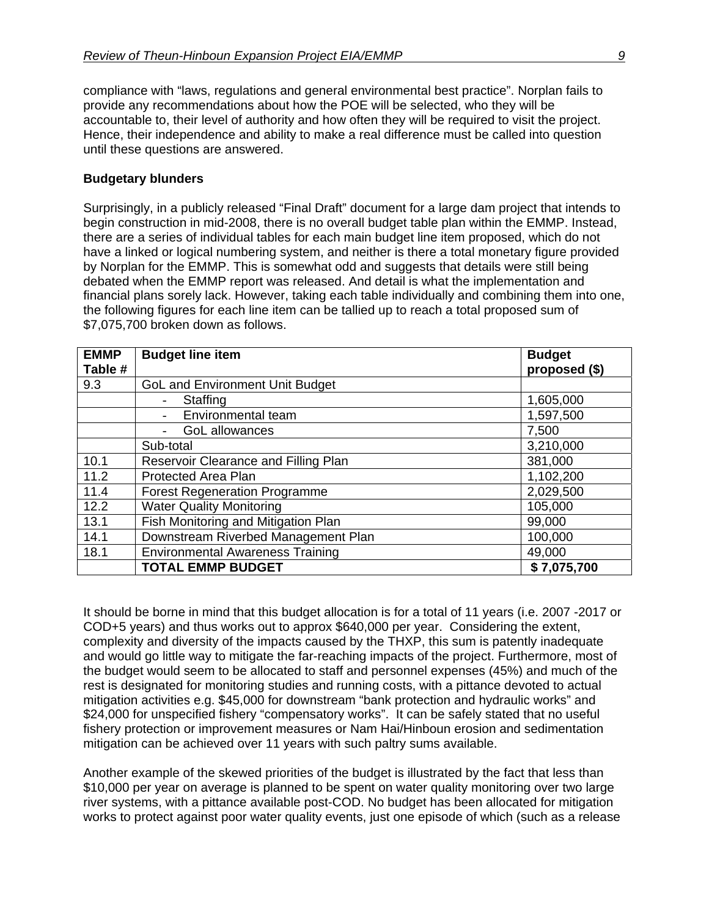compliance with "laws, regulations and general environmental best practice". Norplan fails to provide any recommendations about how the POE will be selected, who they will be accountable to, their level of authority and how often they will be required to visit the project. Hence, their independence and ability to make a real difference must be called into question until these questions are answered.

#### **Budgetary blunders**

Surprisingly, in a publicly released "Final Draft" document for a large dam project that intends to begin construction in mid-2008, there is no overall budget table plan within the EMMP. Instead, there are a series of individual tables for each main budget line item proposed, which do not have a linked or logical numbering system, and neither is there a total monetary figure provided by Norplan for the EMMP. This is somewhat odd and suggests that details were still being debated when the EMMP report was released. And detail is what the implementation and financial plans sorely lack. However, taking each table individually and combining them into one, the following figures for each line item can be tallied up to reach a total proposed sum of \$7,075,700 broken down as follows.

| <b>EMMP</b><br>Table # | <b>Budget line item</b>                 | <b>Budget</b><br>proposed (\$) |
|------------------------|-----------------------------------------|--------------------------------|
| 9.3                    | <b>GoL and Environment Unit Budget</b>  |                                |
|                        | Staffing                                | 1,605,000                      |
|                        | Environmental team                      | 1,597,500                      |
|                        | GoL allowances                          | 7,500                          |
|                        | Sub-total                               | 3,210,000                      |
| 10.1                   | Reservoir Clearance and Filling Plan    | 381,000                        |
| 11.2                   | Protected Area Plan                     | 1,102,200                      |
| 11.4                   | <b>Forest Regeneration Programme</b>    | 2,029,500                      |
| 12.2                   | <b>Water Quality Monitoring</b>         | 105,000                        |
| 13.1                   | Fish Monitoring and Mitigation Plan     | 99,000                         |
| 14.1                   | Downstream Riverbed Management Plan     | 100,000                        |
| 18.1                   | <b>Environmental Awareness Training</b> | 49,000                         |
|                        | <b>TOTAL EMMP BUDGET</b>                | \$7,075,700                    |

It should be borne in mind that this budget allocation is for a total of 11 years (i.e. 2007 -2017 or COD+5 years) and thus works out to approx \$640,000 per year. Considering the extent, complexity and diversity of the impacts caused by the THXP, this sum is patently inadequate and would go little way to mitigate the far-reaching impacts of the project. Furthermore, most of the budget would seem to be allocated to staff and personnel expenses (45%) and much of the rest is designated for monitoring studies and running costs, with a pittance devoted to actual mitigation activities e.g. \$45,000 for downstream "bank protection and hydraulic works" and \$24,000 for unspecified fishery "compensatory works". It can be safely stated that no useful fishery protection or improvement measures or Nam Hai/Hinboun erosion and sedimentation mitigation can be achieved over 11 years with such paltry sums available.

Another example of the skewed priorities of the budget is illustrated by the fact that less than \$10,000 per year on average is planned to be spent on water quality monitoring over two large river systems, with a pittance available post-COD. No budget has been allocated for mitigation works to protect against poor water quality events, just one episode of which (such as a release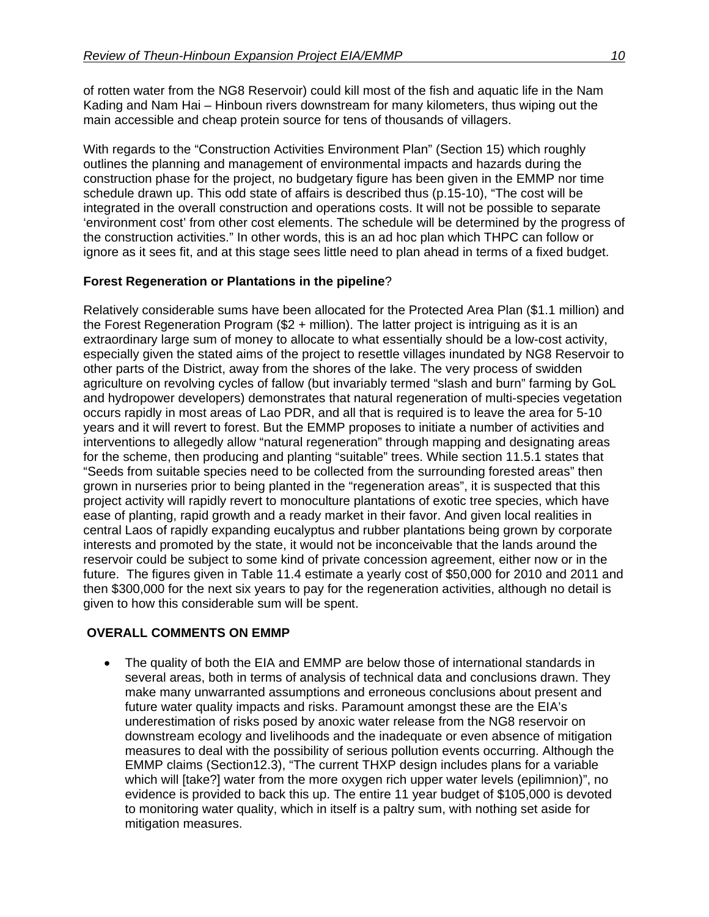of rotten water from the NG8 Reservoir) could kill most of the fish and aquatic life in the Nam Kading and Nam Hai – Hinboun rivers downstream for many kilometers, thus wiping out the main accessible and cheap protein source for tens of thousands of villagers.

With regards to the "Construction Activities Environment Plan" (Section 15) which roughly outlines the planning and management of environmental impacts and hazards during the construction phase for the project, no budgetary figure has been given in the EMMP nor time schedule drawn up. This odd state of affairs is described thus (p.15-10), "The cost will be integrated in the overall construction and operations costs. It will not be possible to separate 'environment cost' from other cost elements. The schedule will be determined by the progress of the construction activities." In other words, this is an ad hoc plan which THPC can follow or ignore as it sees fit, and at this stage sees little need to plan ahead in terms of a fixed budget.

## **Forest Regeneration or Plantations in the pipeline**?

Relatively considerable sums have been allocated for the Protected Area Plan (\$1.1 million) and the Forest Regeneration Program (\$2 + million). The latter project is intriguing as it is an extraordinary large sum of money to allocate to what essentially should be a low-cost activity, especially given the stated aims of the project to resettle villages inundated by NG8 Reservoir to other parts of the District, away from the shores of the lake. The very process of swidden agriculture on revolving cycles of fallow (but invariably termed "slash and burn" farming by GoL and hydropower developers) demonstrates that natural regeneration of multi-species vegetation occurs rapidly in most areas of Lao PDR, and all that is required is to leave the area for 5-10 years and it will revert to forest. But the EMMP proposes to initiate a number of activities and interventions to allegedly allow "natural regeneration" through mapping and designating areas for the scheme, then producing and planting "suitable" trees. While section 11.5.1 states that "Seeds from suitable species need to be collected from the surrounding forested areas" then grown in nurseries prior to being planted in the "regeneration areas", it is suspected that this project activity will rapidly revert to monoculture plantations of exotic tree species, which have ease of planting, rapid growth and a ready market in their favor. And given local realities in central Laos of rapidly expanding eucalyptus and rubber plantations being grown by corporate interests and promoted by the state, it would not be inconceivable that the lands around the reservoir could be subject to some kind of private concession agreement, either now or in the future. The figures given in Table 11.4 estimate a yearly cost of \$50,000 for 2010 and 2011 and then \$300,000 for the next six years to pay for the regeneration activities, although no detail is given to how this considerable sum will be spent.

#### **OVERALL COMMENTS ON EMMP**

• The quality of both the EIA and EMMP are below those of international standards in several areas, both in terms of analysis of technical data and conclusions drawn. They make many unwarranted assumptions and erroneous conclusions about present and future water quality impacts and risks. Paramount amongst these are the EIA's underestimation of risks posed by anoxic water release from the NG8 reservoir on downstream ecology and livelihoods and the inadequate or even absence of mitigation measures to deal with the possibility of serious pollution events occurring. Although the EMMP claims (Section12.3), "The current THXP design includes plans for a variable which will [take?] water from the more oxygen rich upper water levels (epilimnion)", no evidence is provided to back this up. The entire 11 year budget of \$105,000 is devoted to monitoring water quality, which in itself is a paltry sum, with nothing set aside for mitigation measures.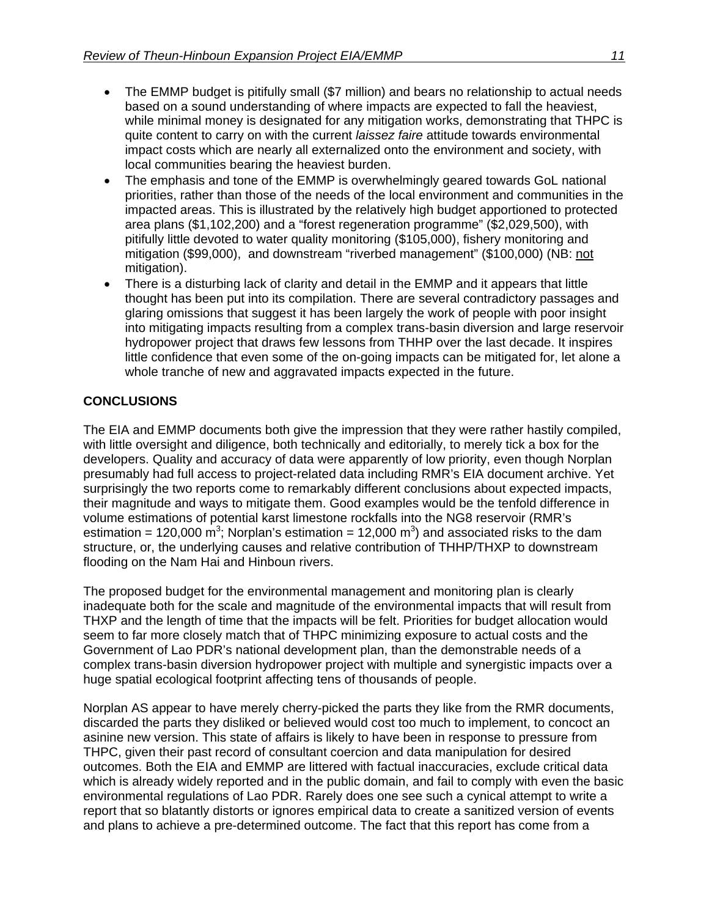- The EMMP budget is pitifully small (\$7 million) and bears no relationship to actual needs based on a sound understanding of where impacts are expected to fall the heaviest, while minimal money is designated for any mitigation works, demonstrating that THPC is quite content to carry on with the current *laissez faire* attitude towards environmental impact costs which are nearly all externalized onto the environment and society, with local communities bearing the heaviest burden.
- The emphasis and tone of the EMMP is overwhelmingly geared towards GoL national priorities, rather than those of the needs of the local environment and communities in the impacted areas. This is illustrated by the relatively high budget apportioned to protected area plans (\$1,102,200) and a "forest regeneration programme" (\$2,029,500), with pitifully little devoted to water quality monitoring (\$105,000), fishery monitoring and mitigation (\$99,000), and downstream "riverbed management" (\$100,000) (NB: not mitigation).
- There is a disturbing lack of clarity and detail in the EMMP and it appears that little thought has been put into its compilation. There are several contradictory passages and glaring omissions that suggest it has been largely the work of people with poor insight into mitigating impacts resulting from a complex trans-basin diversion and large reservoir hydropower project that draws few lessons from THHP over the last decade. It inspires little confidence that even some of the on-going impacts can be mitigated for, let alone a whole tranche of new and aggravated impacts expected in the future.

## **CONCLUSIONS**

The EIA and EMMP documents both give the impression that they were rather hastily compiled, with little oversight and diligence, both technically and editorially, to merely tick a box for the developers. Quality and accuracy of data were apparently of low priority, even though Norplan presumably had full access to project-related data including RMR's EIA document archive. Yet surprisingly the two reports come to remarkably different conclusions about expected impacts, their magnitude and ways to mitigate them. Good examples would be the tenfold difference in volume estimations of potential karst limestone rockfalls into the NG8 reservoir (RMR's estimation = 120,000 m<sup>3</sup>; Norplan's estimation = 12,000 m<sup>3</sup>) and associated risks to the dam structure, or, the underlying causes and relative contribution of THHP/THXP to downstream flooding on the Nam Hai and Hinboun rivers.

The proposed budget for the environmental management and monitoring plan is clearly inadequate both for the scale and magnitude of the environmental impacts that will result from THXP and the length of time that the impacts will be felt. Priorities for budget allocation would seem to far more closely match that of THPC minimizing exposure to actual costs and the Government of Lao PDR's national development plan, than the demonstrable needs of a complex trans-basin diversion hydropower project with multiple and synergistic impacts over a huge spatial ecological footprint affecting tens of thousands of people.

Norplan AS appear to have merely cherry-picked the parts they like from the RMR documents, discarded the parts they disliked or believed would cost too much to implement, to concoct an asinine new version. This state of affairs is likely to have been in response to pressure from THPC, given their past record of consultant coercion and data manipulation for desired outcomes. Both the EIA and EMMP are littered with factual inaccuracies, exclude critical data which is already widely reported and in the public domain, and fail to comply with even the basic environmental regulations of Lao PDR. Rarely does one see such a cynical attempt to write a report that so blatantly distorts or ignores empirical data to create a sanitized version of events and plans to achieve a pre-determined outcome. The fact that this report has come from a